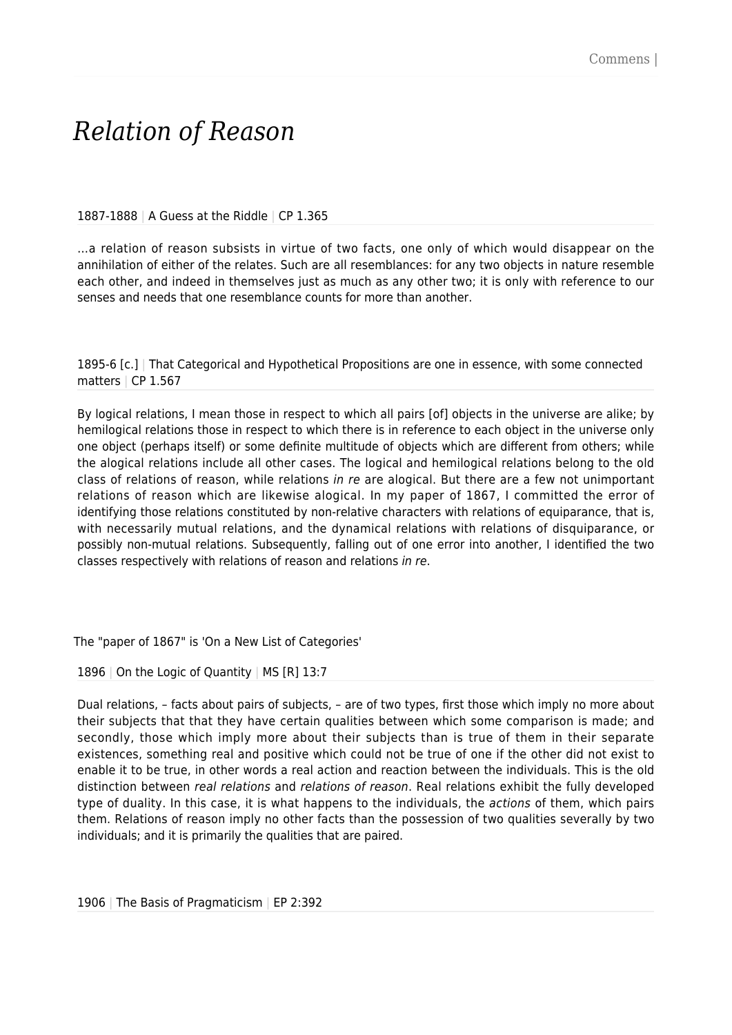## *Relation of Reason*

## 1887-1888 | A Guess at the Riddle | CP 1.365

…a relation of reason subsists in virtue of two facts, one only of which would disappear on the annihilation of either of the relates. Such are all resemblances: for any two objects in nature resemble each other, and indeed in themselves just as much as any other two; it is only with reference to our senses and needs that one resemblance counts for more than another.

1895-6 [c.] | That Categorical and Hypothetical Propositions are one in essence, with some connected matters | CP 1.567

By logical relations, I mean those in respect to which all pairs [of] objects in the universe are alike; by hemilogical relations those in respect to which there is in reference to each object in the universe only one object (perhaps itself) or some definite multitude of objects which are different from others; while the alogical relations include all other cases. The logical and hemilogical relations belong to the old class of relations of reason, while relations in re are alogical. But there are a few not unimportant relations of reason which are likewise alogical. In my paper of 1867, I committed the error of identifying those relations constituted by non-relative characters with relations of equiparance, that is, with necessarily mutual relations, and the dynamical relations with relations of disquiparance, or possibly non-mutual relations. Subsequently, falling out of one error into another, I identified the two classes respectively with relations of reason and relations in re.

The "paper of 1867" is 'On a New List of Categories'

1896 | On the Logic of Quantity | MS  $[R]$  13:7

Dual relations, – facts about pairs of subjects, – are of two types, first those which imply no more about their subjects that that they have certain qualities between which some comparison is made; and secondly, those which imply more about their subjects than is true of them in their separate existences, something real and positive which could not be true of one if the other did not exist to enable it to be true, in other words a real action and reaction between the individuals. This is the old distinction between real relations and relations of reason. Real relations exhibit the fully developed type of duality. In this case, it is what happens to the individuals, the *actions* of them, which pairs them. Relations of reason imply no other facts than the possession of two qualities severally by two individuals; and it is primarily the qualities that are paired.

1906 | The Basis of Pragmaticism | EP 2:392